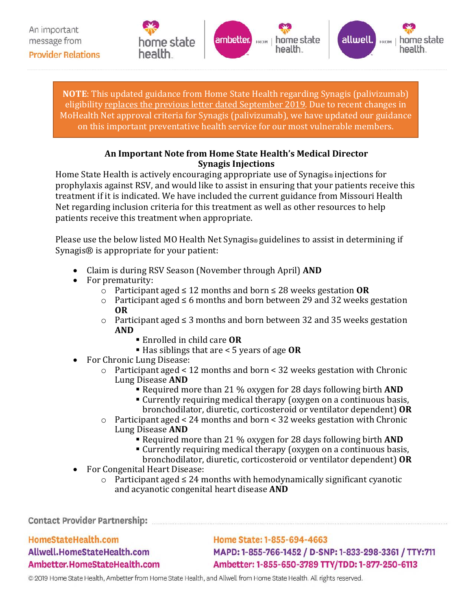





 **NOTE**: This updated guidance from Home State Health regarding Synagis (palivizumab) eligibility replaces the previous letter dated September 2019. Due to recent changes in MoHealth Net approval criteria for Synagis (palivizumab), we have updated our guidance on this important preventative health service for our most vulnerable members.

## **An Important Note from Home State Health's Medical Director Synagis Injections**

 treatment if it is indicated. We have included the current guidance from Missouri Health Home State Health is actively encouraging appropriate use of Synagis<sup>®</sup> injections for prophylaxis against RSV, and would like to assist in ensuring that your patients receive this Net regarding inclusion criteria for this treatment as well as other resources to help patients receive this treatment when appropriate.

Please use the below listed MO Health Net Synagis® guidelines to assist in determining if Synagis® is appropriate for your patient:

- Claim is during RSV Season (November through April) **AND**
- • For prematurity:
	- o Participant aged ≤ 12 months and born ≤ 28 weeks gestation OR
	- Participant aged ≤ 6 months and born between 29 and 32 weeks gestation o **OR**
	- o Participant aged ≤ 3 months and born between 32 and 35 weeks gestation **AND** 
		- Enrolled in child care **OR** 
			- Has siblings that are < 5 years of age **OR**
- • For Chronic Lung Disease:
	- o Participant aged < 12 months and born < 32 weeks gestation with Chronic Lung Disease **AND** 
		- Required more than 21 % oxygen for 28 days following birth **AND**
		- bronchodilator, diuretic, corticosteroid or ventilator dependent) **OR**  Currently requiring medical therapy (oxygen on a continuous basis,
	- o Participant aged < 24 months and born < 32 weeks gestation with Chronic
		- Lung Disease **AND** 
			- Required more than 21 % oxygen for 28 days following birth **AND**
			- Currently requiring medical therapy (oxygen on a continuous basis,
			- bronchodilator, diuretic, corticosteroid or ventilator dependent) **OR**
- For Congenital Heart Disease:
	- o Participant aged ≤ 24 months with hemodynamically significant cyanotic and acyanotic congenital heart disease **AND**

**Contact Provider Partnership:** 

HomeStateHealth.com Allwell.HomeStateHealth.com Ambetter.HomeStateHealth.com

Home State: 1-855-694-4663 MAPD: 1-855-766-1452 / D-SNP: 1-833-298-3361 / TTY:711 Ambetter: 1-855-650-3789 TTY/TDD: 1-877-250-6113

© 2019 Home State Health, Ambetter from Home State Health, and Allwell from Home State Health. All rights reserved.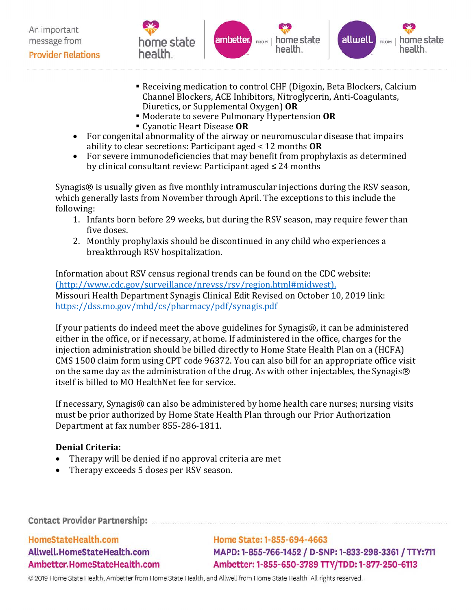

- Diuretics, or Supplemental Oxygen) OR Receiving medication to control CHF (Digoxin, Beta Blockers, Calcium Channel Blockers, ACE Inhibitors, Nitroglycerin, Anti-Coagulants,
- Moderate to severe Pulmonary Hypertension **OR**
- Cyanotic Heart Disease **OR**
- ability to clear secretions: Participant aged < 12 months **OR**  • For congenital abnormality of the airway or neuromuscular disease that impairs
- by clinical consultant review: Participant aged ≤ 24 months • For severe immunodeficiencies that may benefit from prophylaxis as determined

 Synagis® is usually given as five monthly intramuscular injections during the RSV season, which generally lasts from November through April. The exceptions to this include the following:

- 1. Infants born before 29 weeks, but during the RSV season, may require fewer than five doses.
- 2. Monthly prophylaxis should be discontinued in any child who experiences a breakthrough RSV hospitalization.

Information about RSV census regional trends can be found on the CDC website: (<http://www.cdc.gov/surveillance/nrevss/rsv/region.html#midwest>). Missouri Health Department Synagis Clinical Edit Revised on October 10, 2019 link: <https://dss.mo.gov/mhd/cs/pharmacy/pdf/synagis.pdf>

 injection administration should be billed directly to Home State Health Plan on a (HCFA) If your patients do indeed meet the above guidelines for Synagis®, it can be administered either in the office, or if necessary, at home. If administered in the office, charges for the CMS 1500 claim form using CPT code 96372. You can also bill for an appropriate office visit on the same day as the administration of the drug. As with other injectables, the Synagis® itself is billed to MO HealthNet fee for service.

If necessary, Synagis® can also be administered by home health care nurses; nursing visits must be prior authorized by Home State Health Plan through our Prior Authorization Department at fax number 855-286-1811.

## **Denial Criteria:**

- Therapy will be denied if no approval criteria are met
- Therapy exceeds 5 doses per RSV season.

**Contact Provider Partnership:** 

HomeStateHealth.com Allwell.HomeStateHealth.com Ambetter.HomeStateHealth.com

Home State: 1-855-694-4663 MAPD: 1-855-766-1452 / D-SNP: 1-833-298-3361 / TTY:711 Ambetter: 1-855-650-3789 TTY/TDD: 1-877-250-6113

© 2019 Home State Health, Ambetter from Home State Health, and Allwell from Home State Health. All rights reserved.